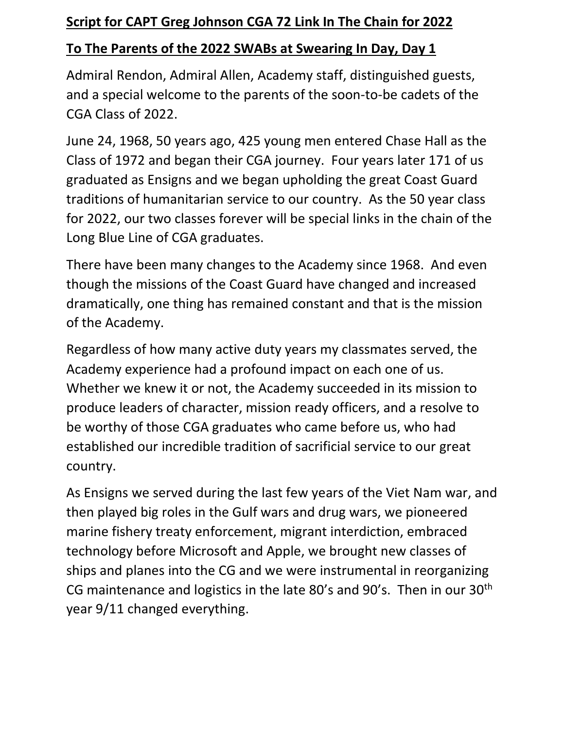## **Script for CAPT Greg Johnson CGA 72 Link In The Chain for 2022**

## **To The Parents of the 2022 SWABs at Swearing In Day, Day 1**

Admiral Rendon, Admiral Allen, Academy staff, distinguished guests, and a special welcome to the parents of the soon-to-be cadets of the CGA Class of 2022.

June 24, 1968, 50 years ago, 425 young men entered Chase Hall as the Class of 1972 and began their CGA journey. Four years later 171 of us graduated as Ensigns and we began upholding the great Coast Guard traditions of humanitarian service to our country. As the 50 year class for 2022, our two classes forever will be special links in the chain of the Long Blue Line of CGA graduates.

There have been many changes to the Academy since 1968. And even though the missions of the Coast Guard have changed and increased dramatically, one thing has remained constant and that is the mission of the Academy.

Regardless of how many active duty years my classmates served, the Academy experience had a profound impact on each one of us. Whether we knew it or not, the Academy succeeded in its mission to produce leaders of character, mission ready officers, and a resolve to be worthy of those CGA graduates who came before us, who had established our incredible tradition of sacrificial service to our great country.

As Ensigns we served during the last few years of the Viet Nam war, and then played big roles in the Gulf wars and drug wars, we pioneered marine fishery treaty enforcement, migrant interdiction, embraced technology before Microsoft and Apple, we brought new classes of ships and planes into the CG and we were instrumental in reorganizing CG maintenance and logistics in the late 80's and 90's. Then in our 30th year 9/11 changed everything.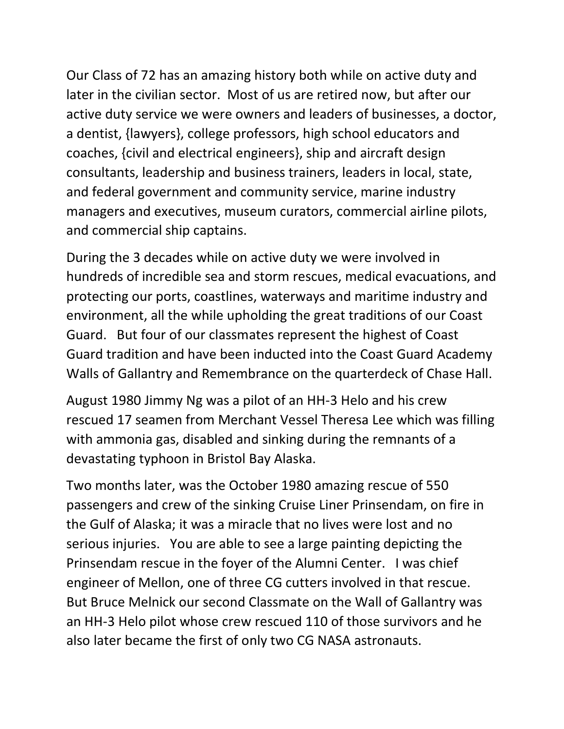Our Class of 72 has an amazing history both while on active duty and later in the civilian sector. Most of us are retired now, but after our active duty service we were owners and leaders of businesses, a doctor, a dentist, {lawyers}, college professors, high school educators and coaches, {civil and electrical engineers}, ship and aircraft design consultants, leadership and business trainers, leaders in local, state, and federal government and community service, marine industry managers and executives, museum curators, commercial airline pilots, and commercial ship captains.

During the 3 decades while on active duty we were involved in hundreds of incredible sea and storm rescues, medical evacuations, and protecting our ports, coastlines, waterways and maritime industry and environment, all the while upholding the great traditions of our Coast Guard. But four of our classmates represent the highest of Coast Guard tradition and have been inducted into the Coast Guard Academy Walls of Gallantry and Remembrance on the quarterdeck of Chase Hall.

August 1980 Jimmy Ng was a pilot of an HH-3 Helo and his crew rescued 17 seamen from Merchant Vessel Theresa Lee which was filling with ammonia gas, disabled and sinking during the remnants of a devastating typhoon in Bristol Bay Alaska.

Two months later, was the October 1980 amazing rescue of 550 passengers and crew of the sinking Cruise Liner Prinsendam, on fire in the Gulf of Alaska; it was a miracle that no lives were lost and no serious injuries. You are able to see a large painting depicting the Prinsendam rescue in the foyer of the Alumni Center. I was chief engineer of Mellon, one of three CG cutters involved in that rescue. But Bruce Melnick our second Classmate on the Wall of Gallantry was an HH-3 Helo pilot whose crew rescued 110 of those survivors and he also later became the first of only two CG NASA astronauts.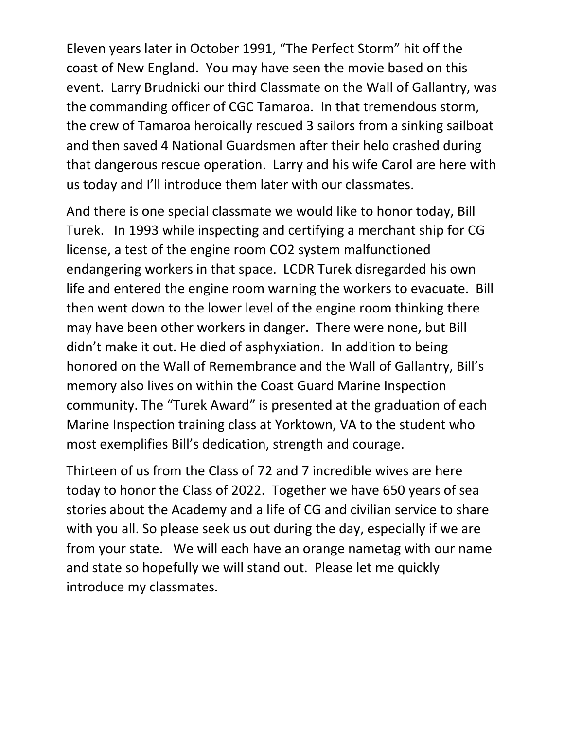Eleven years later in October 1991, "The Perfect Storm" hit off the coast of New England. You may have seen the movie based on this event. Larry Brudnicki our third Classmate on the Wall of Gallantry, was the commanding officer of CGC Tamaroa. In that tremendous storm, the crew of Tamaroa heroically rescued 3 sailors from a sinking sailboat and then saved 4 National Guardsmen after their helo crashed during that dangerous rescue operation. Larry and his wife Carol are here with us today and I'll introduce them later with our classmates.

And there is one special classmate we would like to honor today, Bill Turek. In 1993 while inspecting and certifying a merchant ship for CG license, a test of the engine room CO2 system malfunctioned endangering workers in that space. LCDR Turek disregarded his own life and entered the engine room warning the workers to evacuate. Bill then went down to the lower level of the engine room thinking there may have been other workers in danger. There were none, but Bill didn't make it out. He died of asphyxiation. In addition to being honored on the Wall of Remembrance and the Wall of Gallantry, Bill's memory also lives on within the Coast Guard Marine Inspection community. The "Turek Award" is presented at the graduation of each Marine Inspection training class at Yorktown, VA to the student who most exemplifies Bill's dedication, strength and courage.

Thirteen of us from the Class of 72 and 7 incredible wives are here today to honor the Class of 2022. Together we have 650 years of sea stories about the Academy and a life of CG and civilian service to share with you all. So please seek us out during the day, especially if we are from your state. We will each have an orange nametag with our name and state so hopefully we will stand out. Please let me quickly introduce my classmates.